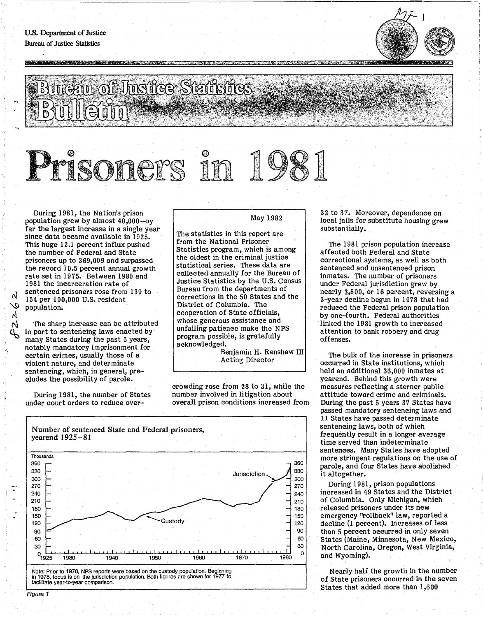**CONTRACTORS AND RESIDENTS OF A STATISTICS** 



## Sau of Jusice Statistics

## : 996  $\mathbb{N}^$ *iJ*

During 1981, the Nation's prison population grew by almost 40,000-by far the largest increase in a single year since data became available in 1925. This huge 12.1 percent influx pushed the number of Federal and State prisoners up to 369,009 and surpassed the record 10.5 percent annual growth rate set in 1975. Between 1980 and 1981 the incarceration rate of sentenced prisoners rose from 139 to 154 per 100,000 U.S. resident population.

The sharp increase can be attributed in part to sentencing laws enacted by many States during the past 5 years, notably mandatory imprisonment for certain crimes, usually those of a violent nature, and determinate sentencing, which, in general, precludes the possibility of parole.

During 1981, the number of States under court orders to reduce overMay 1982

The statistics in this report are from the National Prisoner Statistics program, which is among the oldest in the criminal justice statistical series. These data are collected annually for the Bureau of Justice Statistics by the U.S. Census Bureau from the departments of corrections in the 50 States and the District of Columbia. The cooperation of State officials, whose generous assistance and unfailing patience make the NPS program possible, is gratefully acknowledged.

Benjamin H. Renshaw III Acting Director

crowding rose from 28 to 31, while the number involved in litigation about overall prison conditions increased from



32 to 37. Moreover, dependence on local jails for substitute housing grew substantially.

The 1981 prison population increase affected both Federal and State correctional systems, as well as both sentenced and unsentenced prison inmates. The number of prisoners under Federal jurisdiction grew by nearly 3,800, Or 16 percent, reversing a 3-year decline begun in 1978 that had reduced the Federal prison population by one-fourth. Federal authorities linked the 1981 growth to increased attention to bank robbery and drug offenses.

The bulk of the increase in prisoners occurred in State institutions, which held an additional 36,000 inmates at yearend. Behind this growth were measures reflecting a sterner public attitude toward crime and criminals. During the past 5 years 37 States have passed mandatory sentencing laws and 11 States have passed determinate sentencing laws, both of which frequently result in a longer average time served than indeterminate sentences. Many States have adopted more stringent regulations on the use of parole, and four States have abolished it altogether.

During 1981, prison populations increased in 49 States and the District of Columbia. Only Michigan, which released prisoners under its new emergency "rollback" law, reported a decline (1 percent). Increases of less than 5 percent occurred in only seven States (Maine, Minnesota, New Mexico, North Carolina, Oregon, West Virginia, and Wyoming).

Nearly half the growth in the number of State prisoners occurred in the seven States that added more than 1,600

 $\lambda$ 

Ń N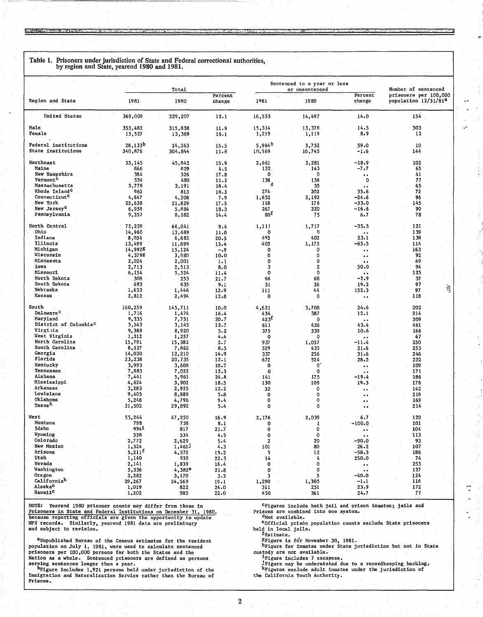Table 1. Prisoners under jurisdiction of State and Federal correctional authorities, by region and State, yearend 1980 and 1981.

**STORY COMPANY AND CONTROL** 

|                                      | Total               |                    |                   | Sentenced to a year or less<br>or unsentenced |              |                                             | Number of sentenced                                       |  |
|--------------------------------------|---------------------|--------------------|-------------------|-----------------------------------------------|--------------|---------------------------------------------|-----------------------------------------------------------|--|
| Region and State                     | 1981                | 1980               | Percent<br>change | 1981                                          | 1980         | Percent<br>change                           | prisoners per 100,000<br>population 12/31/81 <sup>8</sup> |  |
| United States                        | 369,009             | 329,207            | 12.1              | 16,533                                        | 14,497       | 14.0                                        | $154$ .                                                   |  |
| Ma <sub>1e</sub>                     | 353,482             | 315,838            | 11.9              | 15,314                                        | 13,378       | 14.5                                        | 303                                                       |  |
| Female                               | 15,527              | 13,369             | 16.1              | 1,219                                         | 1,119        | 8.9                                         | 12                                                        |  |
| <b>Federal institutions</b>          | 28,133 <sup>b</sup> | 24,363             | 15.5              | 5,964 <sup>b</sup>                            | 3,752        | 59.0                                        | 10                                                        |  |
| State institutions                   | 340,876             | 304,844            | 11.8              | 10,569                                        | 10,745       | $-1.6$                                      | 144                                                       |  |
| Northeast                            | 53,145              | 45,842             | 15.9              | 2,661                                         | 3,281        | $-18.9$                                     | 102                                                       |  |
| Maine                                | 866                 | 829                | 4.5               | 132                                           | 143          | -7.7                                        | 65                                                        |  |
| New Hampshire                        | 384                 | 326                | 17.8              | 0                                             | 0            | $\ddot{\phantom{1}}$                        | 41                                                        |  |
| Vermont <sup>C</sup>                 | 534                 | 480                | 11.2              | 138                                           | 138          | 0                                           | 77                                                        |  |
| Massachusetts                        | 3,779               | 3,191              | 18.4              | đ                                             | 35           | $\ddot{\phantom{0}}$                        | 65                                                        |  |
| Rhode Island <sup>c</sup>            | 962                 | 813                | 18.3              | 274                                           | 202          | 35.6                                        | 72                                                        |  |
| Connecticut <sup>C</sup><br>New York | 4,647               | 4,308              | 7.9               | 1,652                                         | 2,192        | $-24.6$<br>$-33.0$                          | 96<br>145                                                 |  |
| New Jersey <sup>e</sup>              | 25,658<br>6,958     | 21,829<br>5,884    | 17.5<br>18.3      | 118<br>267                                    | 176<br>320   | $-16.6$                                     | 90                                                        |  |
| Pennsylvania                         | 9,357               | 8,182              | 14.4              | 80 <sup>T</sup>                               | 75           | 6.7                                         | 78                                                        |  |
|                                      |                     |                    |                   |                                               |              |                                             |                                                           |  |
| North Central                        | 72,228              | 66,041             | 9.4               | 1,111                                         | 1,717        | $-35.3$                                     | 121                                                       |  |
| Ohio                                 | 14,968              | 13,489             | 11.0              | ٥                                             | 0            |                                             | 139                                                       |  |
| Indiana<br>Illinois                  | 8,054               | 6,683              | 20.5              | 495                                           | 402          | 23.1                                        | 138                                                       |  |
| Michigan                             | 13,499<br>14,9928   | 11,899             | 13.4              | 405<br>0                                      | 1,175<br>0   | -65.5                                       | 114<br>163                                                |  |
| Wisconsin                            | 4,3788              | 15,124<br>3,980    | $-.9$<br>10.0     | 0                                             | 0            | $\bullet$ $\bullet$<br>$\bullet$ $\bullet$  | 92                                                        |  |
| Minnesota                            | 2,024               | 2,001              | 1.1               | 0                                             | 0            | $\bullet\;\bullet$                          | 49                                                        |  |
| Iowa                                 | 2,713               | 2,513              | 8.0               | 3                                             | 2            | 50.0                                        | 94                                                        |  |
| Missouri                             | 6,154               | 5,524              | 11.4              | 0                                             | 0            | $\ddot{\phantom{a}}$                        | 125                                                       |  |
| North Dakota                         | 308                 | 253                | 21.7              | 66                                            | 68           | $-2.9$                                      | 37                                                        |  |
| South Dakota                         | 693                 | 635                | 9.1               | 31                                            | 26           | 19.2                                        | 97                                                        |  |
| Nebraska                             | 1,633               | 1,446              | 12.9              | 111                                           | 44           | 152.3                                       | 97                                                        |  |
| Kansas                               | 2,812               | 2,494              | 12.8              | 0                                             | 0            | $\ddotsc$                                   | 118                                                       |  |
| South                                | 160,259             | 145,711            | 10.0              | 4,621                                         | 3,708        | 24.6                                        | 202                                                       |  |
| Delaware <sup>c</sup>                | 1,716               | 1,474              | 16.4              | 434                                           | 387          | 12.1                                        | 214                                                       |  |
| Maryland                             | 9,335               | 7,731              | 20.7              | 423 <sup>5</sup>                              | $\bf{0}$     | $\cdot$                                     | 209                                                       |  |
| District of Columbia <sup>C</sup>    | 3,543               | 3,145              | 12.7              | 611                                           | 426          | 43.4                                        | 461                                                       |  |
| Virginia                             | 9,388               | 8,920              | $5 - 2$           | 375                                           | 339          | 10.6                                        | 166                                                       |  |
| West Virginia<br>North Carolina      | 1,312<br>15,791     | 1,257              | 4.4               | 0<br>937                                      | 0            | $-11.4$                                     | 67<br>250                                                 |  |
| South Carolina                       | 8,527               | 15,382<br>7,862    | 2.7<br>8.5        | 529                                           | 1,057<br>435 | 21.6                                        | 253                                                       |  |
| Georgia                              | 14,030              | 12,210             | 14.9              | 337                                           | 256          | 31.6                                        | 246                                                       |  |
| Florida                              | 23,238              | 20,735             | 12.1              | 672                                           | 524          | 28.2                                        | 222                                                       |  |
| Kentucky                             | 3,993               | 3,608              | 10.7              | 0                                             | 0            | $\bullet$ $\bullet$                         | 109                                                       |  |
| Tennessee                            | 7,883               | 7,022              | 12.3              | 0                                             | 0            | $\bullet$                                   | 171                                                       |  |
| Alabama                              | 7,441               | 5,961              | 24.8              | 141                                           | 175          | -19.4                                       | 186                                                       |  |
| Mississippi<br>Arkansas              | 4,624               | 3,902              | 18.5              | 130                                           | 109          | 19.3                                        | 178                                                       |  |
| Louisiana                            | 3,283<br>9,405      | 2,925<br>8,889     | 12.2<br>$5 - 8$   | 32<br>0                                       | 0<br>0       | $\ddot{\phantom{0}}$                        | 142<br>218                                                |  |
| Oklahoma                             | 5,248               | 4,796              | 9.4               | 0                                             | 0            | $\bullet\; \bullet$<br>$\bullet$            | 169                                                       |  |
| Texas <sup>h</sup>                   | 31,502              | 29,892             | 5.4               | 0                                             | 0            | $\ddot{\phantom{a}}$                        | 214                                                       |  |
|                                      |                     |                    |                   |                                               |              |                                             |                                                           |  |
| West<br>Montana                      | 55,244<br>798       | 47,250<br>738      | 16.9              | 2,176                                         | 2,039        | 6.7<br>100.0                                | 120<br>101                                                |  |
| Idaho                                | 9941                | 817                | 8.1<br>21.7       | o<br>0                                        | 4<br>0       |                                             | 104                                                       |  |
| Wyoming                              | 558                 | 534                | 4.5               | $\mathbf 0$                                   | 0            | $\bullet$ $\bullet$<br>$\ddot{\phantom{a}}$ | 113                                                       |  |
| Colorado                             | 2,772               | 2,629              | 5.4               | $\boldsymbol{2}$                              | 20           | -90.0                                       | 93                                                        |  |
| New Mexico                           | 1,524               | 1,4611             | 4.3               | 101                                           | 80           | $26 - 2$                                    | 107                                                       |  |
| Arizona                              | $5,211^E$           | 4,372              | 19.2              | 5                                             | 12           | $-58.3$                                     | 186                                                       |  |
| Utah                                 | 1,140               | 932                | 22.3              | 14                                            | 4            | 250.0                                       | -74                                                       |  |
| Nevada                               | 2,141               | 1,839              | 16.4              | $\bf{0}$                                      | 0            | $\bullet$ $\bullet$                         | 253                                                       |  |
| Washington                           | 5,336               | 4,382 <sup>e</sup> | 21.8              | O                                             | 0            | $\bullet$ $\bullet$                         | 127                                                       |  |
| Oregon<br>California <sup>k</sup>    | 3,282<br>29,267     | 3,170              | 3.5               | 3<br>1,290                                    | 5<br>1,305   | $-40.0$<br>$-1.1$                           | 124<br>116                                                |  |
| Alaska <sup>c</sup>                  | 1,019               | 24,569<br>822      | 19.1<br>24.0      | 311                                           | 251          | 23.9                                        | 172                                                       |  |
| Hawaii <sup>c</sup>                  | 1,202               | 985                | 22.0              | 450                                           | 361          | 24.7                                        | 77                                                        |  |

NOTE: Yearend 1980 prisoner counts may differ from those in Prisoners in State and Federal Institutions on December 31, 1980, because reporting officials are given the opportunity to update NPS records. Similarly, yearend 1981 data are preliminary and subject to revision.

aUnpublished Bureau of the Census estimates for the resident "Unpublished Bureau of the Census estimates for the resident<br>population on July 1, 1981, were used to calculate sentenced<br>prisoners per 100,000 persons for both the States and the<br>Nation as a whole. Sentenced prisoners are

Prisons.

CFigures include both jail and prison inmates; jails and Prisons are combined into one system.

 $\ddot{\cdot}$ 

eOfficial prison population counts exclude State prisoners held in local jails.<br>fEstimate.

SFigure is for November 30, 1981.

hFigure for inmates under State jurisdiction but not in State

custody are not available.<br>The primate state is also and the correct of the custody are not available.<br>The secapees.<br>The second is also denoted the correct of the second interest of the second correct correct correct the s the California Youth Authority.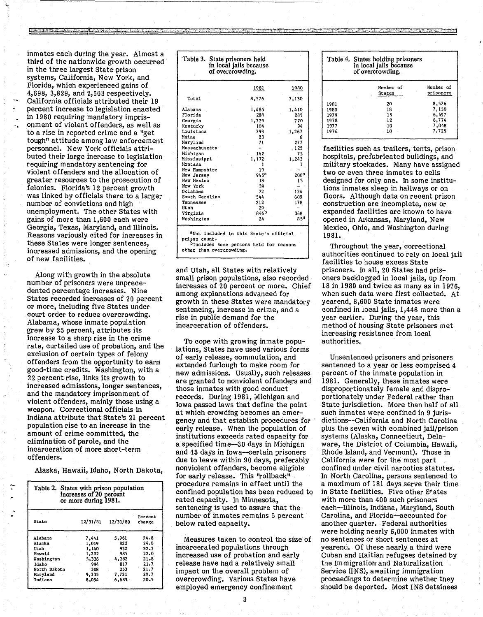inmates each during the year. Almost a third of the nationwide growth occurred in the three largest state prison systems, California, New York, and Florida, which experienced gains of 4,698, 3,829, and 2,503 respectively. California officials attributed their 19 percent increase to legislation enacted in 1980 requiring mandatory imprisonment of violent offenders, as well as to a rise in reported crime and a "get tough" attitude among law enforcement personnel. New York officials attributed their large increase to legislation requiring mandatory sentencing for violent offenders and the allocation of greater resources to the prosecution of felonies. Florida's 12 percent growth was linked by officials there to a larger number of convictions and high unemployment. The other States with gains of more than 1,600 each were Georgia, Texas, Maryland, and Illinois. Reasons variously cited for increases in these States were longer sentences, increased admissions, and the opening of new facilities.

'.

Along with growth in the absolute number of prisoners were unprecedented percentage increases. Nine States recorded increases of 20 percent or more, including five States under court order to reduce overcrowding. Alabama, whose inmate population grew by 25 percent, attributes its increase to a sharp rise in the crime rate, curtailed use of probation, and the exclusion of certain types of felony offenders from the opportunity to earn good-time credits. Washington, with a 22 percent rise, links its growth to increased admissions, longer sentences, and the mandatory imprisonment of violent offenders, mainly those using a weapon. Correctional officials in Indiana attribute that State's 21 percent population rise to an increase in the amount of crime committed, the elimination of parole, and the incarceration of more short-term offenders.

Alaska, Hawaii, Idaho, North Dakota,

| Table 2. States with prison population<br>increases of 20 percent<br>or more during 1981. |          |          |                   |  |  |
|-------------------------------------------------------------------------------------------|----------|----------|-------------------|--|--|
| <b>State</b>                                                                              | 12/31/81 | 12/31/80 | Percent<br>change |  |  |
| Alabama                                                                                   | 7,441    | 5,961    | $24 - 8$          |  |  |
| Alaska                                                                                    | 1,019    | 822      | 24.0              |  |  |
| Utah                                                                                      | 1,140    | 932      | $22 - 3$          |  |  |
| Hawaii                                                                                    | 1,202    | 985      | 22.0              |  |  |
| Washington                                                                                | 5.336    | 4.382    | 21.8              |  |  |
| Idaho                                                                                     | 994      | 817      | 21.7              |  |  |
| North Dakota                                                                              | 308      | 253      | 21.7              |  |  |
| Maryland                                                                                  | 9,335    | 7,731    | 20.7              |  |  |
| Indiana                                                                                   | 8.054    | 6,683    | 20.5              |  |  |

|                | 1981  | 1980             |
|----------------|-------|------------------|
| Total          | 8,576 | 7,130            |
| Alabama        | 1,485 | 1,410            |
| Florida        | 288   | 285              |
| Georgia        | 1,729 | 770              |
| Kentucky       | 104   | 94               |
| Louisiana      | 793   | 1,267            |
| Maine          | 23    | 6                |
| Marvland       | 71    | 277              |
| Massachusetts  |       | 125              |
| Michigan       | 162   | 75               |
| Mississippi    | 1,172 | 1,243            |
| Montana        | 1     |                  |
| New Hampshire  | 19    |                  |
| New Jersey     | 94 5ª | 200 <sup>a</sup> |
| New Mexico     | 18    | 13               |
| New York       | 39    |                  |
| Oklahoma       | 72    | 124              |
| South Carolina | 544   | 609              |
| Tennessee      | 212   | 178              |
| Utah           | 29    |                  |
| Virginia       | 846b  | 36R              |
| Washington     | $-24$ | a sa             |

. ;z. **c':.;:'** 

and Utah, all States with relatively small prison populations, also recorded increases of 20 percent or more. Chief among explanations advanced for growth in these States were mandatory sentencing, increase in crime, and a rise in public demand for the incarceration of offenders.

To cope with growing inmate populations, States have used various forms of early release, commutation, and extended furlough to make room for new admissions. Usually, such releases are granted to nonviolent offenders and those inmates with good conduct records. During 1981, Michigan and Iowa passed laws that define the point at which crowding becomes an emergency and that establish procedures for early release. When the population of institutions exceeds rated capacity for a specified time-30 days in Michigan and 45 days in Iowa-certain prisoners due to leave within 90 days, preferably nonviolent offenders, become eligible for early release. This "rollback" procedure remains in effect until the confined population has been reduced to rated capacity. In Minnesota, sentencing is used to assure that the number of inmates remains 5 percent below rated capacity.

Measures taken to control the size of incarcerated populations through increased use of probation and early release have had a relatively small impact on the overall problem of overcrowding. Various States have employed emergency confinement

| Table 4. States holding prisoners<br>in local jails because<br>of overcrowding. |                     |                        |  |  |
|---------------------------------------------------------------------------------|---------------------|------------------------|--|--|
|                                                                                 | Number of<br>States | Number of<br>prisoners |  |  |
| 1981                                                                            | -20                 | 8,576                  |  |  |
| 1980                                                                            | 18                  | 7,130                  |  |  |
| 1979                                                                            | 15                  | 6.497                  |  |  |
| 1978                                                                            | 12                  | 6,774                  |  |  |
| 1977                                                                            | 10                  | 7,048                  |  |  |
| 1976                                                                            | 10                  | 7,725                  |  |  |

 $\sim$   $\pi$ 

facilities such as trailers, tents, prison hospitals, prefabricated buildings, and military stockades. Many have assigned two or even three inmates to cells designed for only one. In some institutions inmates sleep in hallways or on floors. Although data on recent prison construction are incomplete, new or expanded facilities are known to have opened in Arkansas, Maryland, New Mexico, Ohio, and Washington during 1981.

Throughout the year, correctional authorities continued to rely on local jail facilities to house excess State prisoners. In all, 20 States had prisoners backlogged in local jails, up from 18 in 1980 and twice as many as in 1976, when such data were first collected. At yearend, 8,600 State inmates were confined in local jails, 1,446 more than a year earlier. During the year, this method of housing State prisoners met increasing resistance from local authorities.

Unsentenced prisoners and prisoners sentenced to a year or less comprised 4 percent of the inmate population in 1981. Generally, these inmates were disproportionately female and disproportionately under Federal rather than State jurisdiction. More than half of all such inmates were confined in 9 jurisdictions--California and North Carolina plus the seven with combined jail/prison systems (Alaska, Connecticut, Delaware, the District of Columbia, Hawaii, Rhode Island, and Vermont). Those in California were for the most part confined under civil narcotics statutes. In North Carolina, persons sentenced to a maximum of 181 days serve their time in State facilities. Five other States with more than 400 such prisoners each-Illinois, 1ndiana, Maryland, South Carolina, and Florida-accounted for another quarter. Federal authorities were holding nearly 6,000 inmates with no sentences or short sentences at yearend. Of these nearly a third were Cuban and Haitian refugees detained by the Immigration and Naturalization Service (INS), awaiting immigration proceedings to determine whether they should be deported. Most INS detainees